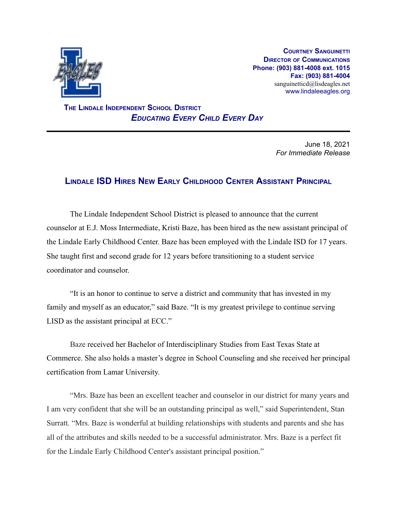

**COURTNEY SANGUINETTI DIRECTOR OF COMMUNICATIONS Phone: (903) 881-4008 ext. 1015 Fax: (903) 881-4004** sanguinetticd@lisdeagles.net www.lindaleeagles.org

**THE LINDALE INDEPENDENT SCHOOL DISTRICT** *EDUCATING EVERY CHILD EVERY DAY*

> June 18, 2021 *For Immediate Release*

## **LINDALE ISD HIRES NEW EARLY CHILDHOOD CENTER ASSISTANT PRINCIPAL**

The Lindale Independent School District is pleased to announce that the current counselor at E.J. Moss Intermediate, Kristi Baze, has been hired as the new assistant principal of the Lindale Early Childhood Center. Baze has been employed with the Lindale ISD for 17 years. She taught first and second grade for 12 years before transitioning to a student service coordinator and counselor.

"It is an honor to continue to serve a district and community that has invested in my family and myself as an educator," said Baze. "It is my greatest privilege to continue serving LISD as the assistant principal at ECC."

Baze received her Bachelor of Interdisciplinary Studies from East Texas State at Commerce. She also holds a master's degree in School Counseling and she received her principal certification from Lamar University.

"Mrs. Baze has been an excellent teacher and counselor in our district for many years and I am very confident that she will be an outstanding principal as well," said Superintendent, Stan Surratt. "Mrs. Baze is wonderful at building relationships with students and parents and she has all of the attributes and skills needed to be a successful administrator. Mrs. Baze is a perfect fit for the Lindale Early Childhood Center's assistant principal position."